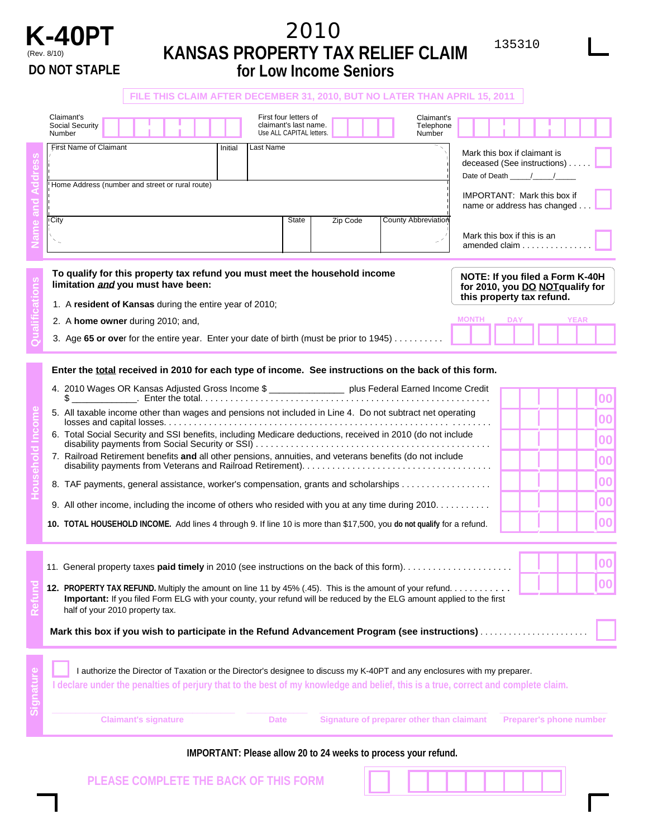

## **K-40PT PARAGE BOODEDTY TAY DELIFE CLAIM 135310**  (Rev. 8/10) **KANSAS PROPERTY TAX RELIEF CLAIM DO NOT STAPLE for Low Income Seniors**

**FILE THIS CLAIM AFTER DECEMBER 31, 2010, BUT NO LATER THAN APRIL 15, 2011**  Claimant's<br>
Social Security<br>
Number Tifst Name of Claimant<br>
First Name of Claimant<br>
Thitial Last Name<br>
Thitial Last Name<br>
Thitial Last Name Claimant's<br>
Social Security **Claimant's last name.** Claimant's claimant's claimant's claimant's claimant's claimant's claimant's claimant's claimant's claimant's claimant's claimant's claimant's claimant's claimant entry o **Household Income Refund Qualifications Name and Address** Number | **Number All Collection** | Number | Use ALL CAPITAL letters. | | | | | | | Number Home Address (number and street or rural route) City **State Zip Code** Control Control of State State Zip Code Last Name County Abbreviation **First Name of Claimant** Initial **To qualify for this property tax refund you must meet the household income limitation and you must have been:**  1. A **resident of Kansas** during the entire year of 2010; 2. A **home owner** during 2010; and, Mark this box if claimant is deceased (See instructions) . . Date of Death IMPORTANT: Mark this box if name or address has changed. Mark this box if this is an amended claim . . . . . . . . **NOTE: If you filed a Form K-40H for 2010, you DO NOTqualify for this property tax refund. MONTH DAY YEAR**  3. Age **65 or ove**r for the entire year. Enter your date of birth (must be prior to 1945) . . . . . . . . . . **Enter the total received in 2010 for each type of income. See instructions on the back of this form.**  4. 2010 Wages OR Kansas Adjusted Gross Income \$ \_\_\_\_\_\_\_\_\_\_\_\_\_\_\_\_\_\_ plus Federal Earned Income Credit  $\$\_\_$ 5. All taxable income other than wages and pensions not included in Line 4. Do not subtract net operating losses and capital losses. . . . . . . . . . . . . . . . . . . . . . . . . . . . . . . . . . . . . . . . . . . . . . . . . . . . . . . . . ........ 6. Total Social Security and SSI benefits, including Medicare deductions, received in 2010 (do not include disability payments from Social Security or SSI) . ... ... . . ... . . ... . . . . ... . . ... . . ... . . ... . . ... . . . 7. Railroad Retirement benefits **and** all other pensions, annuities, and veterans benefits (do not include disability payments from Veterans and Railroad Retirement). . . ... . . ... . . ... . . ... . . ... . . ... . . ... . . 8. TAF payments, general assistance, worker's compensation, grants and scholarships . . . . . . . . . . . . . . . . 9. All other income, including the income of others who resided with you at any time during 2010. . . . . . . . . . . **10. TOTAL HOUSEHOLD INCOME.** Add lines 4 through 9. If line 10 is more than \$17,500, you **do not qualify** for a refund. .**00**  ,  $\frac{1}{2}$ ,  $\int$ ,  $\int$ .**00**  .**00**  .**00**  .**00 00**  .**00**  , 11. General property taxes **paid timely** in 2010 (see instructions on the back of this form). . . ... . . ... . . ... . . ... . **12. PROPERTY TAX REFUND.** Multiply the amount on line 11 by 45% (.45). This is the amount of your refund. ... . . ... . . . , .**<sup>00</sup>** , .**<sup>00</sup> Important:** If you filed Form ELG with your county, your refund will be reduced by the ELG amount applied to the first half of your 2010 property tax. **Mark this box if you wish to participate in the Refund Advancement Program (see instructions)** ....................... **Signature**  I authorize the Director of Taxation or the Director's designee to discuss my K-40PT and any enclosures with my preparer.

**Claimant's signature Case Claimant Claimant Claimant Claimant Preparer's phone number Claimant Claimant Claimant IMPORTANT: Please allow 20 to 24 weeks to process your refund. PLEASE COMPLETE THE BACK OF THIS FORM**

I declare under the penalties of perjury that to the best of my knowledge and belief, this is a true, correct and complete claim.